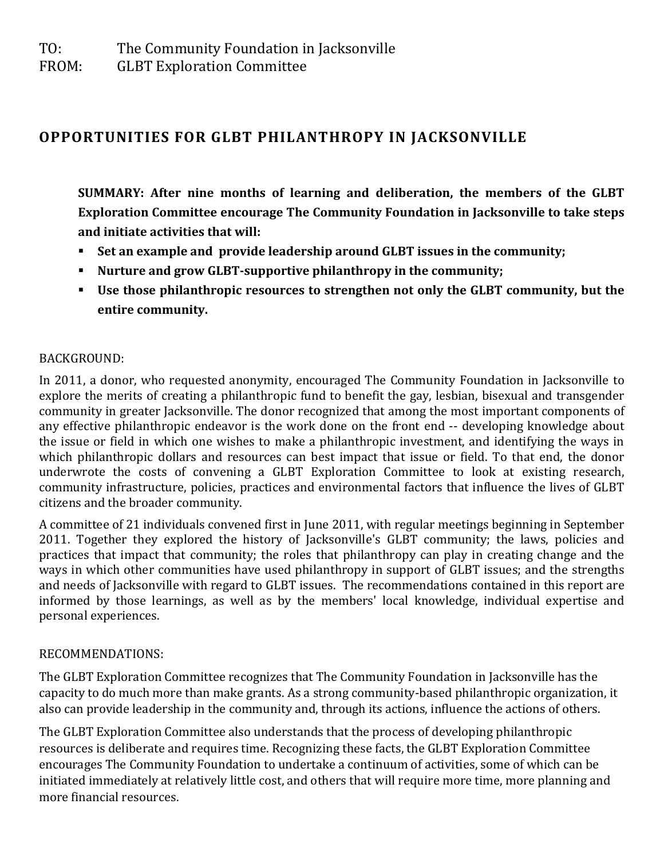**GLBT Exploration Committee** 

# **OPPORTUNITIES FOR GLBT PHILANTHROPY IN JACKSONVILLE**

**SUMMARY: After nine months of learning and deliberation, the members of the GLBT Exploration Committee encourage The Community Foundation in Jacksonville to take steps and initiate activities that will:**

- **Set an example and provide leadership around GLBT issues in the community;**
- **Nurture and grow GLBT-supportive philanthropy in the community;**
- **Use those philanthropic resources to strengthen not only the GLBT community, but the entire community.**

## BACKGROUND:

In 2011, a donor, who requested anonymity, encouraged The Community Foundation in Jacksonville to explore the merits of creating a philanthropic fund to benefit the gay, lesbian, bisexual and transgender community in greater Jacksonville. The donor recognized that among the most important components of any effective philanthropic endeavor is the work done on the front end -- developing knowledge about the issue or field in which one wishes to make a philanthropic investment, and identifying the ways in which philanthropic dollars and resources can best impact that issue or field. To that end, the donor underwrote the costs of convening a GLBT Exploration Committee to look at existing research, community infrastructure, policies, practices and environmental factors that influence the lives of GLBT citizens and the broader community.

A committee of 21 individuals convened first in June 2011, with regular meetings beginning in September 2011. Together they explored the history of Jacksonville's GLBT community; the laws, policies and practices that impact that community; the roles that philanthropy can play in creating change and the ways in which other communities have used philanthropy in support of GLBT issues; and the strengths and needs of Jacksonville with regard to GLBT issues. The recommendations contained in this report are informed by those learnings, as well as by the members' local knowledge, individual expertise and personal experiences.

# RECOMMENDATIONS:

The GLBT Exploration Committee recognizes that The Community Foundation in Jacksonville has the capacity to do much more than make grants. As a strong community-based philanthropic organization, it also can provide leadership in the community and, through its actions, influence the actions of others.

The GLBT Exploration Committee also understands that the process of developing philanthropic resources is deliberate and requires time. Recognizing these facts, the GLBT Exploration Committee encourages The Community Foundation to undertake a continuum of activities, some of which can be initiated immediately at relatively little cost, and others that will require more time, more planning and more financial resources.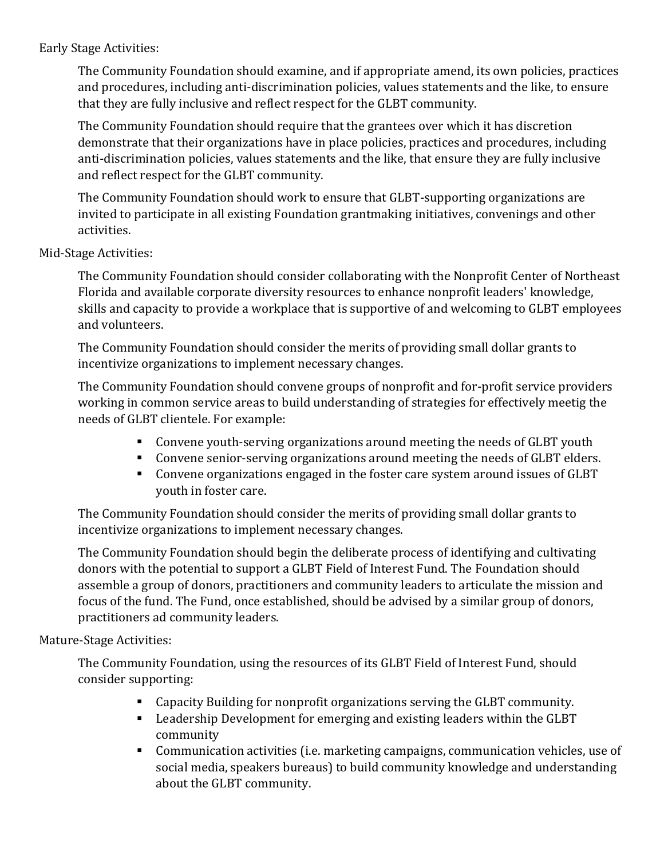Early Stage Activities:

The Community Foundation should examine, and if appropriate amend, its own policies, practices and procedures, including anti-discrimination policies, values statements and the like, to ensure that they are fully inclusive and reflect respect for the GLBT community.

The Community Foundation should require that the grantees over which it has discretion demonstrate that their organizations have in place policies, practices and procedures, including anti-discrimination policies, values statements and the like, that ensure they are fully inclusive and reflect respect for the GLBT community.

The Community Foundation should work to ensure that GLBT-supporting organizations are invited to participate in all existing Foundation grantmaking initiatives, convenings and other activities.

Mid-Stage Activities:

The Community Foundation should consider collaborating with the Nonprofit Center of Northeast Florida and available corporate diversity resources to enhance nonprofit leaders' knowledge, skills and capacity to provide a workplace that is supportive of and welcoming to GLBT employees and volunteers.

The Community Foundation should consider the merits of providing small dollar grants to incentivize organizations to implement necessary changes.

The Community Foundation should convene groups of nonprofit and for-profit service providers working in common service areas to build understanding of strategies for effectively meetig the needs of GLBT clientele. For example:

- Convene youth-serving organizations around meeting the needs of GLBT youth
- Convene senior-serving organizations around meeting the needs of GLBT elders.
- Convene organizations engaged in the foster care system around issues of GLBT youth in foster care.

The Community Foundation should consider the merits of providing small dollar grants to incentivize organizations to implement necessary changes.

The Community Foundation should begin the deliberate process of identifying and cultivating donors with the potential to support a GLBT Field of Interest Fund. The Foundation should assemble a group of donors, practitioners and community leaders to articulate the mission and focus of the fund. The Fund, once established, should be advised by a similar group of donors, practitioners ad community leaders.

#### Mature-Stage Activities:

The Community Foundation, using the resources of its GLBT Field of Interest Fund, should consider supporting:

- Capacity Building for nonprofit organizations serving the GLBT community.
- Leadership Development for emerging and existing leaders within the GLBT community
- Communication activities (i.e. marketing campaigns, communication vehicles, use of social media, speakers bureaus) to build community knowledge and understanding about the GLBT community.